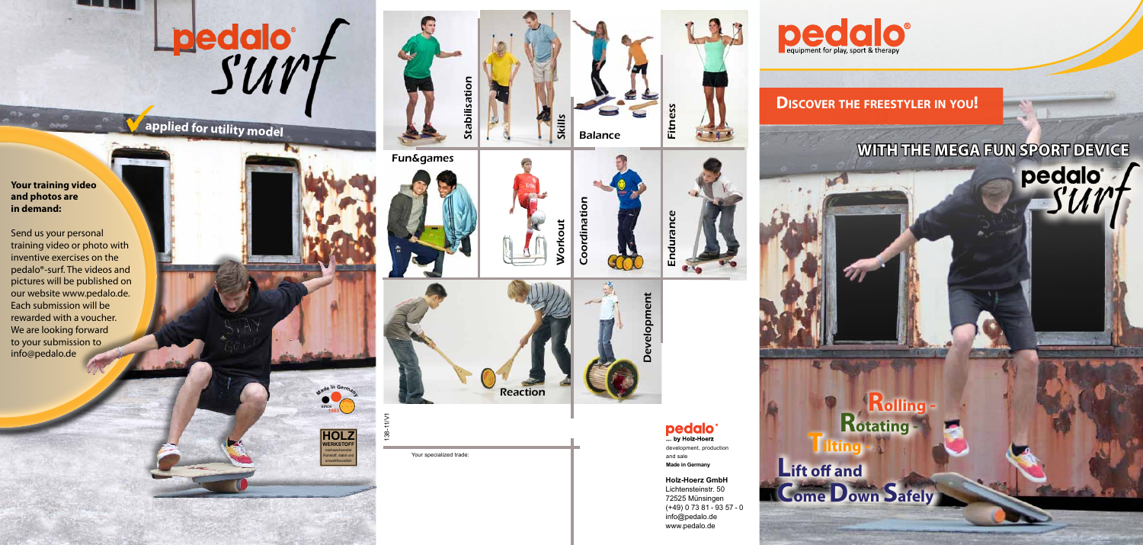**Rotating - <sup>T</sup>ilting -Rolling - Lift off and Come Down Safely**

Lpedalo f

# **applied for utility model**

**HOLZ WERKSTOFF** nachwachsender Rohstoff, stabil und umweltfreundlich

Your specialized trade:

## **Discover the freestyler in you !**

# **With the mega fun spo rt devi ce**





**Holz-Hoerz GmbH** Lichtensteinstr. 50 72525 Münsingen (+49) 0 73 81 - 93 57 - 0 info@pedalo.de www.pedalo.de







development, production and sale **Made in Germany** 





Reaction

Coordination

Coordination

Workout

138-11/V1

Development

# **pedalo**

**Your training video and photos are in demand:**

Send us your personal training video or photo with inventive exercises on the pedalo®-surf. The videos and pictures will be published on our website www.pedalo.de. Each submission will be rewarded with a voucher. We are looking forward to your submission to info@pedalo.de